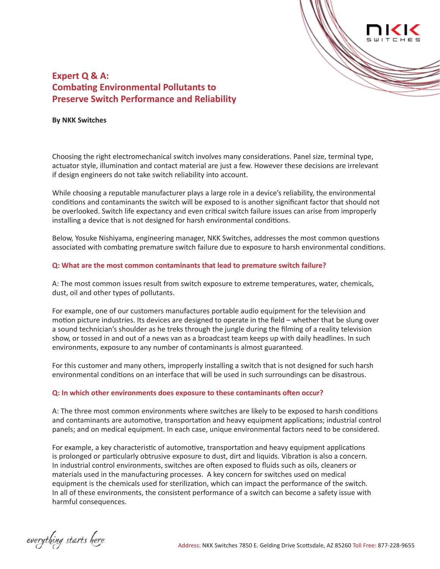

# **Expert Q & A: Combating Environmental Pollutants to Preserve Switch Performance and Reliability**

#### **By NKK Switches**

Choosing the right electromechanical switch involves many considerations. Panel size, terminal type, actuator style, illumination and contact material are just a few. However these decisions are irrelevant if design engineers do not take switch reliability into account.

While choosing a reputable manufacturer plays a large role in a device's reliability, the environmental conditions and contaminants the switch will be exposed to is another significant factor that should not be overlooked. Switch life expectancy and even critical switch failure issues can arise from improperly installing a device that is not designed for harsh environmental conditions.

Below, Yosuke Nishiyama, engineering manager, NKK Switches, addresses the most common questions associated with combating premature switch failure due to exposure to harsh environmental conditions.

#### **Q: What are the most common contaminants that lead to premature switch failure?**

A: The most common issues result from switch exposure to extreme temperatures, water, chemicals, dust, oil and other types of pollutants.

For example, one of our customers manufactures portable audio equipment for the television and motion picture industries. Its devices are designed to operate in the field – whether that be slung over a sound technician's shoulder as he treks through the jungle during the filming of a reality television show, or tossed in and out of a news van as a broadcast team keeps up with daily headlines. In such environments, exposure to any number of contaminants is almost guaranteed.

For this customer and many others, improperly installing a switch that is not designed for such harsh environmental conditions on an interface that will be used in such surroundings can be disastrous.

#### **Q: In which other environments does exposure to these contaminants often occur?**

A: The three most common environments where switches are likely to be exposed to harsh conditions and contaminants are automotive, transportation and heavy equipment applications; industrial control panels; and on medical equipment. In each case, unique environmental factors need to be considered.

For example, a key characteristic of automotive, transportation and heavy equipment applications is prolonged or particularly obtrusive exposure to dust, dirt and liquids. Vibration is also a concern. In industrial control environments, switches are often exposed to fluids such as oils, cleaners or materials used in the manufacturing processes. A key concern for switches used on medical equipment is the chemicals used for sterilization, which can impact the performance of the switch. In all of these environments, the consistent performance of a switch can become a safety issue with harmful consequences.

everything starts here.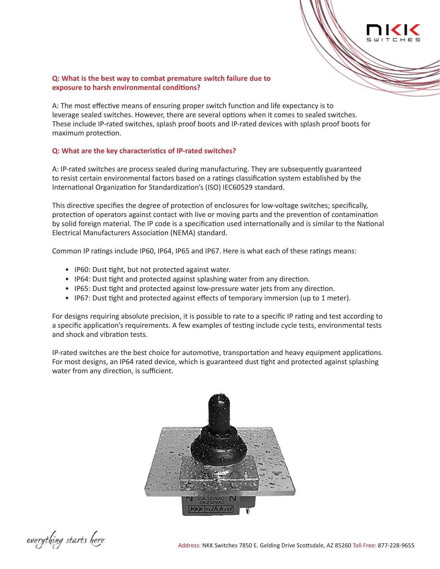### **Q: What is the best way to combat premature switch failure due to exposure to harsh environmental conditions?**

A: The most effective means of ensuring proper switch function and life expectancy is to leverage sealed switches. However, there are several options when it comes to sealed switches. These include IP-rated switches, splash proof boots and IP-rated devices with splash proof boots for maximum protection.

## **Q: What are the key characteristics of IP-rated switches?**

A: IP-rated switches are process sealed during manufacturing. They are subsequently guaranteed to resist certain environmental factors based on a ratings classification system established by the International Organization for Standardization's (ISO) IEC60529 standard.

This directive specifies the degree of protection of enclosures for low-voltage switches; specifically, protection of operators against contact with live or moving parts and the prevention of contamination by solid foreign material. The IP code is a specification used internationally and is similar to the National Electrical Manufacturers Association (NEMA) standard.

Common IP ratings include IP60, IP64, IP65 and IP67. Here is what each of these ratings means:

- IP60: Dust tight, but not protected against water.
- IP64: Dust tight and protected against splashing water from any direction.
- IP65: Dust tight and protected against low-pressure water jets from any direction.
- IP67: Dust tight and protected against effects of temporary immersion (up to 1 meter).

For designs requiring absolute precision, it is possible to rate to a specific IP rating and test according to a specific application's requirements. A few examples of testing include cycle tests, environmental tests and shock and vibration tests.

IP-rated switches are the best choice for automotive, transportation and heavy equipment applications. For most designs, an IP64 rated device, which is guaranteed dust tight and protected against splashing water from any direction, is sufficient.



everything starts here.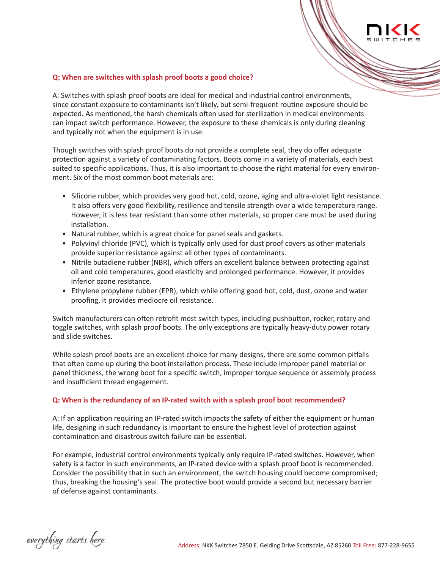### **Q: When are switches with splash proof boots a good choice?**

A: Switches with splash proof boots are ideal for medical and industrial control environments, since constant exposure to contaminants isn't likely, but semi-frequent routine exposure should be expected. As mentioned, the harsh chemicals often used for sterilization in medical environments can impact switch performance. However, the exposure to these chemicals is only during cleaning and typically not when the equipment is in use.

Though switches with splash proof boots do not provide a complete seal, they do offer adequate protection against a variety of contaminating factors. Boots come in a variety of materials, each best suited to specific applications. Thus, it is also important to choose the right material for every environment. Six of the most common boot materials are:

- Silicone rubber, which provides very good hot, cold, ozone, aging and ultra-violet light resistance. It also offers very good flexibility, resilience and tensile strength over a wide temperature range. However, it is less tear resistant than some other materials, so proper care must be used during installation.
- Natural rubber, which is a great choice for panel seals and gaskets.
- Polyvinyl chloride (PVC), which is typically only used for dust proof covers as other materials provide superior resistance against all other types of contaminants.
- Nitrile butadiene rubber (NBR), which offers an excellent balance between protecting against oil and cold temperatures, good elasticity and prolonged performance. However, it provides inferior ozone resistance.
- Ethylene propylene rubber (EPR), which while offering good hot, cold, dust, ozone and water proofing, it provides mediocre oil resistance.

Switch manufacturers can often retrofit most switch types, including pushbutton, rocker, rotary and toggle switches, with splash proof boots. The only exceptions are typically heavy-duty power rotary and slide switches.

While splash proof boots are an excellent choice for many designs, there are some common pitfalls that often come up during the boot installation process. These include improper panel material or panel thickness, the wrong boot for a specific switch, improper torque sequence or assembly process and insufficient thread engagement.

#### **Q: When is the redundancy of an IP-rated switch with a splash proof boot recommended?**

A: If an application requiring an IP-rated switch impacts the safety of either the equipment or human life, designing in such redundancy is important to ensure the highest level of protection against contamination and disastrous switch failure can be essential.

For example, industrial control environments typically only require IP-rated switches. However, when safety is a factor in such environments, an IP-rated device with a splash proof boot is recommended. Consider the possibility that in such an environment, the switch housing could become compromised; thus, breaking the housing's seal. The protective boot would provide a second but necessary barrier of defense against contaminants.

everything starts here.